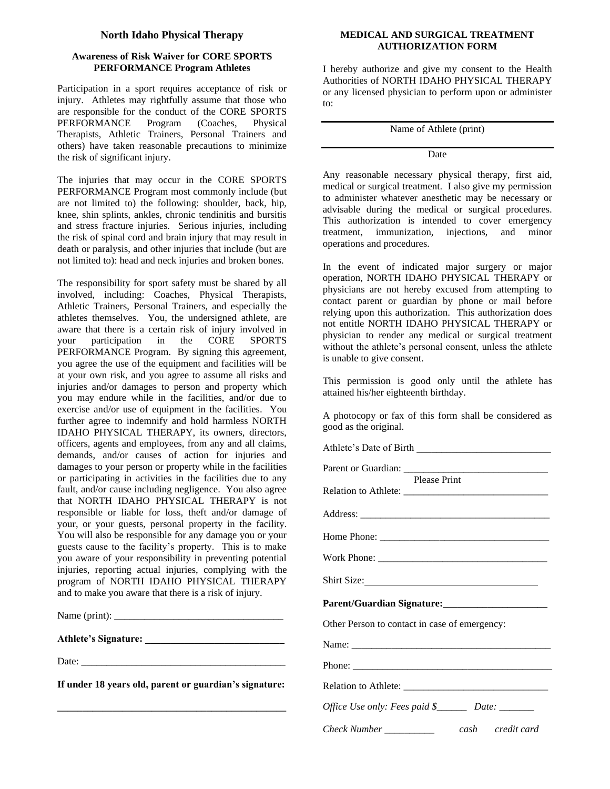### **North Idaho Physical Therapy**

## **Awareness of Risk Waiver for CORE SPORTS PERFORMANCE Program Athletes**

Participation in a sport requires acceptance of risk or injury. Athletes may rightfully assume that those who are responsible for the conduct of the CORE SPORTS<br>PERFORMANCE Program (Coaches, Physical PERFORMANCE Program (Coaches, Physical Therapists, Athletic Trainers, Personal Trainers and others) have taken reasonable precautions to minimize the risk of significant injury.

The injuries that may occur in the CORE SPORTS PERFORMANCE Program most commonly include (but are not limited to) the following: shoulder, back, hip, knee, shin splints, ankles, chronic tendinitis and bursitis and stress fracture injuries. Serious injuries, including the risk of spinal cord and brain injury that may result in death or paralysis, and other injuries that include (but are not limited to): head and neck injuries and broken bones.

The responsibility for sport safety must be shared by all involved, including: Coaches, Physical Therapists, Athletic Trainers, Personal Trainers, and especially the athletes themselves. You, the undersigned athlete, are aware that there is a certain risk of injury involved in your participation in the CORE SPORTS PERFORMANCE Program. By signing this agreement, you agree the use of the equipment and facilities will be at your own risk, and you agree to assume all risks and injuries and/or damages to person and property which you may endure while in the facilities, and/or due to exercise and/or use of equipment in the facilities. You further agree to indemnify and hold harmless NORTH IDAHO PHYSICAL THERAPY, its owners, directors, officers, agents and employees, from any and all claims, demands, and/or causes of action for injuries and damages to your person or property while in the facilities or participating in activities in the facilities due to any fault, and/or cause including negligence. You also agree that NORTH IDAHO PHYSICAL THERAPY is not responsible or liable for loss, theft and/or damage of your, or your guests, personal property in the facility. You will also be responsible for any damage you or your guests cause to the facility's property. This is to make you aware of your responsibility in preventing potential injuries, reporting actual injuries, complying with the program of NORTH IDAHO PHYSICAL THERAPY and to make you aware that there is a risk of injury.

Name  $(print)$ :

**Athlete's Signature: \_\_\_\_\_\_\_\_\_\_\_\_\_\_\_\_\_\_\_\_\_\_\_\_\_\_\_\_**

Date:  $\frac{2}{\sqrt{2\pi}}$ 

**If under 18 years old, parent or guardian's signature:**

**\_\_\_\_\_\_\_\_\_\_\_\_\_\_\_\_\_\_\_\_\_\_\_\_\_\_\_\_\_\_\_\_\_\_\_\_\_\_\_\_\_\_\_\_\_\_**

#### **MEDICAL AND SURGICAL TREATMENT AUTHORIZATION FORM**

I hereby authorize and give my consent to the Health Authorities of NORTH IDAHO PHYSICAL THERAPY or any licensed physician to perform upon or administer to:

Name of Athlete (print)

#### Date

Any reasonable necessary physical therapy, first aid, medical or surgical treatment. I also give my permission to administer whatever anesthetic may be necessary or advisable during the medical or surgical procedures. This authorization is intended to cover emergency treatment, immunization, injections, and minor operations and procedures.

In the event of indicated major surgery or major operation, NORTH IDAHO PHYSICAL THERAPY or physicians are not hereby excused from attempting to contact parent or guardian by phone or mail before relying upon this authorization. This authorization does not entitle NORTH IDAHO PHYSICAL THERAPY or physician to render any medical or surgical treatment without the athlete's personal consent, unless the athlete is unable to give consent.

This permission is good only until the athlete has attained his/her eighteenth birthday.

A photocopy or fax of this form shall be considered as good as the original.

Athlete's Date of Birth Parent or Guardian: Please Print Relation to Athlete: \_\_\_\_\_\_\_\_\_\_\_\_\_\_\_\_\_\_\_\_\_\_\_\_\_\_\_\_\_ Address: Home Phone: Work Phone: \_\_\_\_\_\_\_\_\_\_\_\_\_\_\_\_\_\_\_\_\_\_\_\_\_\_\_\_\_\_\_\_\_\_ Shirt Size: **Parent/Guardian Signature:\_\_\_\_\_\_\_\_\_\_\_\_\_\_\_\_\_\_\_\_\_** Other Person to contact in case of emergency: Name: \_\_\_\_\_\_\_\_\_\_\_\_\_\_\_\_\_\_\_\_\_\_\_\_\_\_\_\_\_\_\_\_\_\_\_\_\_\_\_\_ Phone: \_\_\_\_\_\_\_\_\_\_\_\_\_\_\_\_\_\_\_\_\_\_\_\_\_\_\_\_\_\_\_\_\_\_\_\_\_\_\_\_ Relation to Athlete: \_\_\_\_\_\_\_\_\_\_\_\_\_\_\_\_\_\_\_\_\_\_\_\_\_\_\_\_\_ *Office Use only: Fees paid \$\_\_\_\_\_\_ Date:* \_\_\_\_\_\_\_ *Check Number \_\_\_\_\_\_\_\_\_\_ cash credit card*